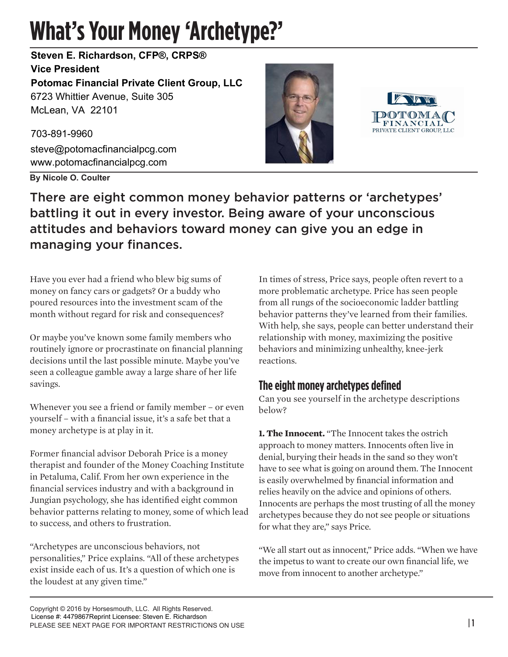## **What's Your Money 'Archetype?'**

6723 Whittier Avenue, Suite 305 McLean, VA 22101 **Steven E. Richardson, CFP®, CRPS® Vice President Potomac Financial Private Client Group, LLC**

703-891-9960 steve@potomacfinancialpcg.com www.potomacfinancialpcg.com

**By Nicole O. Coulter**





There are eight common money behavior patterns or 'archetypes' battling it out in every investor. Being aware of your unconscious attitudes and behaviors toward money can give you an edge in managing your finances.

Have you ever had a friend who blew big sums of money on fancy cars or gadgets? Or a buddy who poured resources into the investment scam of the month without regard for risk and consequences?

Or maybe you've known some family members who routinely ignore or procrastinate on financial planning decisions until the last possible minute. Maybe you've seen a colleague gamble away a large share of her life savings.

Whenever you see a friend or family member – or even yourself – with a financial issue, it's a safe bet that a money archetype is at play in it.

Former financial advisor Deborah Price is a money therapist and founder of the Money Coaching Institute in Petaluma, Calif. From her own experience in the financial services industry and with a background in Jungian psychology, she has identified eight common behavior patterns relating to money, some of which lead to success, and others to frustration.

"Archetypes are unconscious behaviors, not personalities," Price explains. "All of these archetypes exist inside each of us. It's a question of which one is the loudest at any given time."

In times of stress, Price says, people often revert to a more problematic archetype. Price has seen people from all rungs of the socioeconomic ladder battling behavior patterns they've learned from their families. With help, she says, people can better understand their relationship with money, maximizing the positive behaviors and minimizing unhealthy, knee-jerk reactions.

## **The eight money archetypes defined**

Can you see yourself in the archetype descriptions below?

**1. The Innocent.** "The Innocent takes the ostrich approach to money matters. Innocents often live in denial, burying their heads in the sand so they won't have to see what is going on around them. The Innocent is easily overwhelmed by financial information and relies heavily on the advice and opinions of others. Innocents are perhaps the most trusting of all the money archetypes because they do not see people or situations for what they are," says Price.

"We all start out as innocent," Price adds. "When we have the impetus to want to create our own financial life, we move from innocent to another archetype."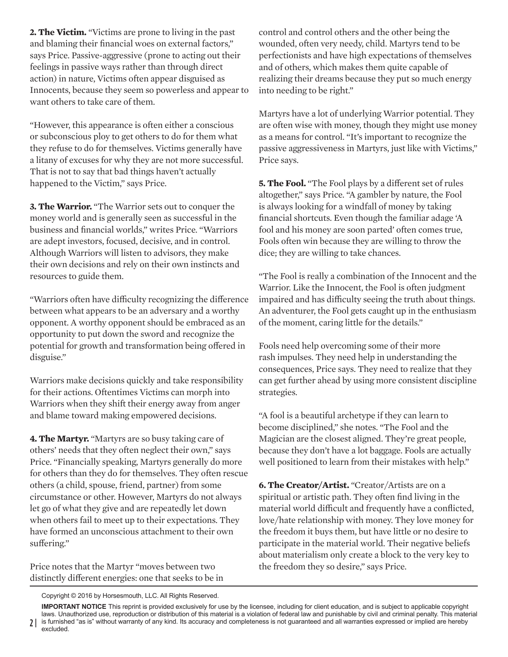**2. The Victim.** "Victims are prone to living in the past and blaming their financial woes on external factors," says Price. Passive-aggressive (prone to acting out their feelings in passive ways rather than through direct action) in nature, Victims often appear disguised as Innocents, because they seem so powerless and appear to want others to take care of them.

"However, this appearance is often either a conscious or subconscious ploy to get others to do for them what they refuse to do for themselves. Victims generally have a litany of excuses for why they are not more successful. That is not to say that bad things haven't actually happened to the Victim," says Price.

**3. The Warrior.** "The Warrior sets out to conquer the money world and is generally seen as successful in the business and financial worlds," writes Price. "Warriors are adept investors, focused, decisive, and in control. Although Warriors will listen to advisors, they make their own decisions and rely on their own instincts and resources to guide them.

"Warriors often have difficulty recognizing the difference between what appears to be an adversary and a worthy opponent. A worthy opponent should be embraced as an opportunity to put down the sword and recognize the potential for growth and transformation being offered in disguise."

Warriors make decisions quickly and take responsibility for their actions. Oftentimes Victims can morph into Warriors when they shift their energy away from anger and blame toward making empowered decisions.

**4. The Martyr.** "Martyrs are so busy taking care of others' needs that they often neglect their own," says Price. "Financially speaking, Martyrs generally do more for others than they do for themselves. They often rescue others (a child, spouse, friend, partner) from some circumstance or other. However, Martyrs do not always let go of what they give and are repeatedly let down when others fail to meet up to their expectations. They have formed an unconscious attachment to their own suffering."

Price notes that the Martyr "moves between two distinctly different energies: one that seeks to be in

control and control others and the other being the wounded, often very needy, child. Martyrs tend to be perfectionists and have high expectations of themselves and of others, which makes them quite capable of realizing their dreams because they put so much energy into needing to be right."

Martyrs have a lot of underlying Warrior potential. They are often wise with money, though they might use money as a means for control. "It's important to recognize the passive aggressiveness in Martyrs, just like with Victims," Price says.

**5. The Fool.** "The Fool plays by a different set of rules altogether," says Price. "A gambler by nature, the Fool is always looking for a windfall of money by taking financial shortcuts. Even though the familiar adage 'A fool and his money are soon parted' often comes true, Fools often win because they are willing to throw the dice; they are willing to take chances.

"The Fool is really a combination of the Innocent and the Warrior. Like the Innocent, the Fool is often judgment impaired and has difficulty seeing the truth about things. An adventurer, the Fool gets caught up in the enthusiasm of the moment, caring little for the details."

Fools need help overcoming some of their more rash impulses. They need help in understanding the consequences, Price says. They need to realize that they can get further ahead by using more consistent discipline strategies.

"A fool is a beautiful archetype if they can learn to become disciplined," she notes. "The Fool and the Magician are the closest aligned. They're great people, because they don't have a lot baggage. Fools are actually well positioned to learn from their mistakes with help."

**6. The Creator/Artist.** "Creator/Artists are on a spiritual or artistic path. They often find living in the material world difficult and frequently have a conflicted, love/hate relationship with money. They love money for the freedom it buys them, but have little or no desire to participate in the material world. Their negative beliefs about materialism only create a block to the very key to the freedom they so desire," says Price.

Copyright © 2016 by Horsesmouth, LLC. All Rights Reserved.

2 | is furnished "as is" without warranty of any kind. Its accuracy and completeness is not guaranteed and all warranties expressed or implied are hereby **IMPORTANT NOTICE** This reprint is provided exclusively for use by the licensee, including for client education, and is subject to applicable copyright laws. Unauthorized use, reproduction or distribution of this material is a violation of federal law and punishable by civil and criminal penalty. This material excluded.